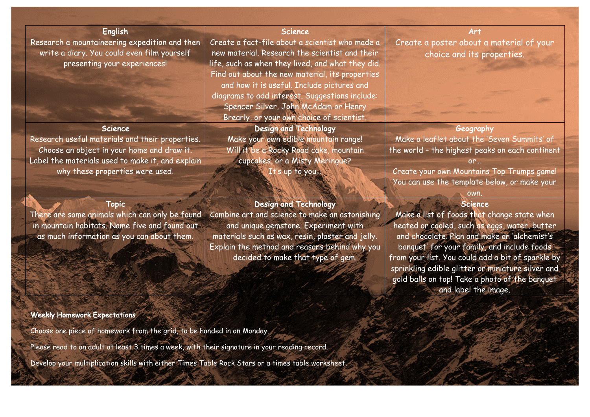# English

Research a mountaineering expedition and then write a diary. You could even film yourself presenting your experiences!

## **Science**

Research useful materials and their properties. Choose an object in your home and draw it. Label the materials used to make it, and explain why these properties were used.

# Topic

There are some animals which can only be found in mountain habitats. Name five and found out as much information as you can about them.

## Weekly Homework Expectations

Choose one piece of homework from the grid, to be handed in on Monday.

Please read to an adult at least 3 times a week, with their signature in your reading record.

Develop your multiplication skills with either Times Table Rock Stars or a times table worksheet.

#### Science

Create a fact-file about a scientist who made a new material. Research the scientist and their life, such as when they lived, and what they did. Find out about the new material, its properties and how it is useful. Include pictures and diagrams to add interest. Suggestions include: Spencer Silver, John McAdam or Henry Brearly, or your own choice of scientist.

# Design and Technology

Make your own edible mountain range! Will it be a Rocky Road cake, mountain cupcakes, or a Misty Meringue? It's up to you...

## Design and Technology

Combine art and science to make an astonishing and unique gemstone. Experiment with materials such as wax, resin, plaster and jelly. Explain the method and reasons behind why you decided to make that type of gem.

Art Create a poster about a material of your choice and its properties.

#### **Geography**

Make a leaflet about the 'Seven Summits' of the world – the highest peaks on each continent or… Create your own Mountains Top Trumps game!

You can use the template below, or make your

#### own. Science

Make a list of foods that change state when heated or cooled, such as eggs, water, butter and chocolate. Plan and make an 'alchemist's banquet' for your family, and include foods from your list. You could add a bit of sparkle by sprinkling edible glitter or miniature silver and gold balls on top! Take a photo of the banquet and label the image.